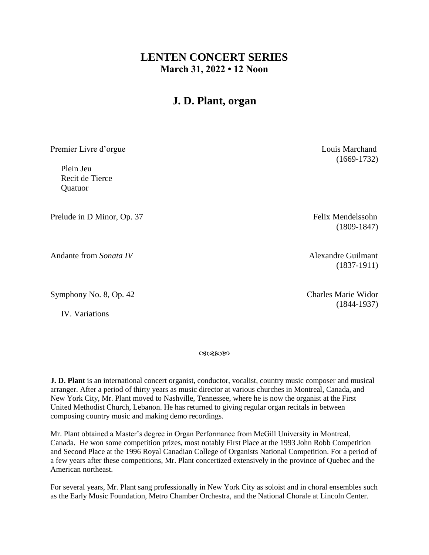## **LENTEN CONCERT SERIES March 31, 2022 • 12 Noon**

# **J. D. Plant, organ**

Premier Livre d'orgue Louis Marchand

 Plein Jeu Recit de Tierce **Quatuor** 

Prelude in D Minor, Op. 37 Felix Mendelssohn

Andante from *Sonata IV* Andante Guilmant

Symphony No. 8, Op. 42 Charles Marie Widor

IV. Variations

ぴぽんめん

**J. D. Plant** is an international concert organist, conductor, vocalist, country music composer and musical arranger. After a period of thirty years as music director at various churches in Montreal, Canada, and New York City, Mr. Plant moved to Nashville, Tennessee, where he is now the organist at the First United Methodist Church, Lebanon. He has returned to giving regular organ recitals in between composing country music and making demo recordings.

Mr. Plant obtained a Master's degree in Organ Performance from McGill University in Montreal, Canada. He won some competition prizes, most notably First Place at the 1993 John Robb Competition and Second Place at the 1996 Royal Canadian College of Organists National Competition. For a period of a few years after these competitions, Mr. Plant concertized extensively in the province of Quebec and the American northeast.

For several years, Mr. Plant sang professionally in New York City as soloist and in choral ensembles such as the Early Music Foundation, Metro Chamber Orchestra, and the National Chorale at Lincoln Center.

(1669-1732)

(1809-1847)

(1837-1911)

(1844-1937)